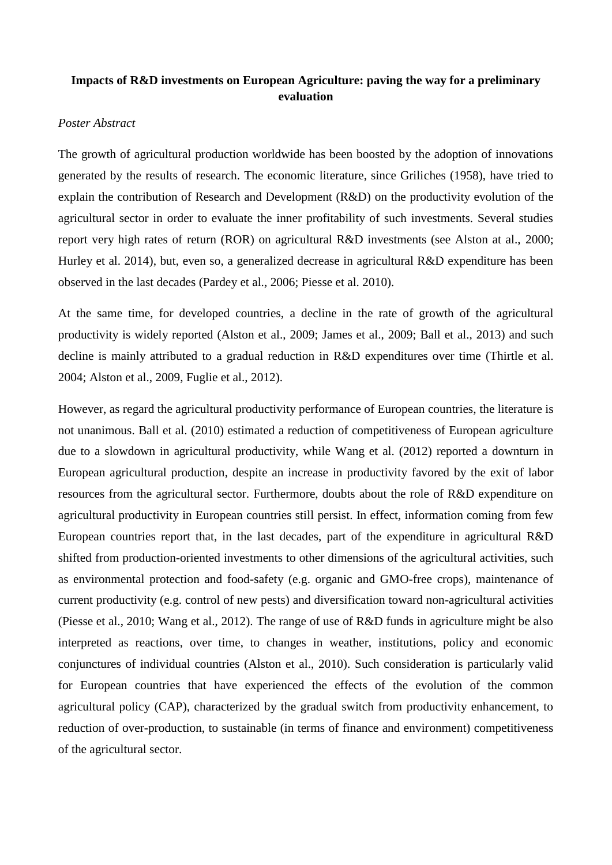## **Impacts of R&D investments on European Agriculture: paving the way for a preliminary evaluation**

## *Poster Abstract*

The growth of agricultural production worldwide has been boosted by the adoption of innovations generated by the results of research. The economic literature, since Griliches (1958), have tried to explain the contribution of Research and Development (R&D) on the productivity evolution of the agricultural sector in order to evaluate the inner profitability of such investments. Several studies report very high rates of return (ROR) on agricultural R&D investments (see Alston at al., 2000; Hurley et al. 2014), but, even so, a generalized decrease in agricultural R&D expenditure has been observed in the last decades (Pardey et al., 2006; Piesse et al. 2010).

At the same time, for developed countries, a decline in the rate of growth of the agricultural productivity is widely reported (Alston et al., 2009; James et al., 2009; Ball et al., 2013) and such decline is mainly attributed to a gradual reduction in R&D expenditures over time (Thirtle et al. 2004; Alston et al., 2009, Fuglie et al., 2012).

However, as regard the agricultural productivity performance of European countries, the literature is not unanimous. Ball et al. (2010) estimated a reduction of competitiveness of European agriculture due to a slowdown in agricultural productivity, while Wang et al. (2012) reported a downturn in European agricultural production, despite an increase in productivity favored by the exit of labor resources from the agricultural sector. Furthermore, doubts about the role of R&D expenditure on agricultural productivity in European countries still persist. In effect, information coming from few European countries report that, in the last decades, part of the expenditure in agricultural R&D shifted from production-oriented investments to other dimensions of the agricultural activities, such as environmental protection and food-safety (e.g. organic and GMO-free crops), maintenance of current productivity (e.g. control of new pests) and diversification toward non-agricultural activities (Piesse et al., 2010; Wang et al., 2012). The range of use of R&D funds in agriculture might be also interpreted as reactions, over time, to changes in weather, institutions, policy and economic conjunctures of individual countries (Alston et al., 2010). Such consideration is particularly valid for European countries that have experienced the effects of the evolution of the common agricultural policy (CAP), characterized by the gradual switch from productivity enhancement, to reduction of over-production, to sustainable (in terms of finance and environment) competitiveness of the agricultural sector.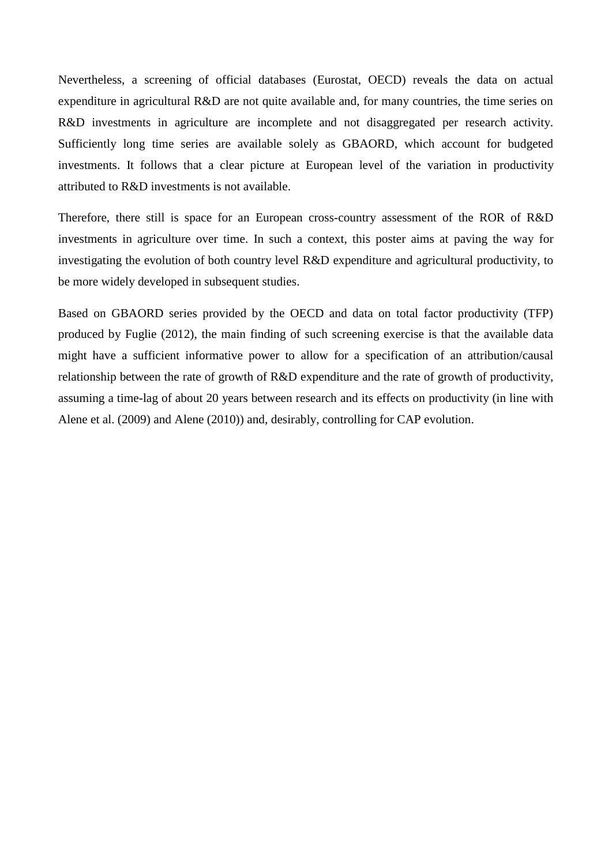Nevertheless, a screening of official databases (Eurostat, OECD) reveals the data on actual expenditure in agricultural R&D are not quite available and, for many countries, the time series on R&D investments in agriculture are incomplete and not disaggregated per research activity. Sufficiently long time series are available solely as GBAORD, which account for budgeted investments. It follows that a clear picture at European level of the variation in productivity attributed to R&D investments is not available.

Therefore, there still is space for an European cross-country assessment of the ROR of R&D investments in agriculture over time. In such a context, this poster aims at paving the way for investigating the evolution of both country level R&D expenditure and agricultural productivity, to be more widely developed in subsequent studies.

Based on GBAORD series provided by the OECD and data on total factor productivity (TFP) produced by Fuglie (2012), the main finding of such screening exercise is that the available data might have a sufficient informative power to allow for a specification of an attribution/causal relationship between the rate of growth of R&D expenditure and the rate of growth of productivity, assuming a time-lag of about 20 years between research and its effects on productivity (in line with Alene et al. (2009) and Alene (2010)) and, desirably, controlling for CAP evolution.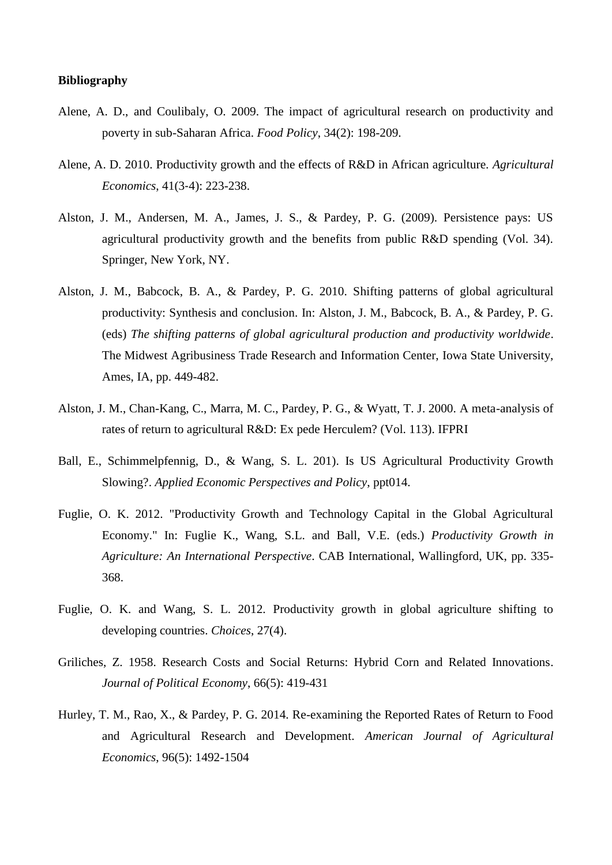## **Bibliography**

- Alene, A. D., and Coulibaly, O. 2009. The impact of agricultural research on productivity and poverty in sub-Saharan Africa. *Food Policy*, 34(2): 198-209.
- Alene, A. D. 2010. Productivity growth and the effects of R&D in African agriculture. *Agricultural Economics*, 41(3‐4): 223-238.
- Alston, J. M., Andersen, M. A., James, J. S., & Pardey, P. G. (2009). Persistence pays: US agricultural productivity growth and the benefits from public R&D spending (Vol. 34). Springer, New York, NY.
- Alston, J. M., Babcock, B. A., & Pardey, P. G. 2010. Shifting patterns of global agricultural productivity: Synthesis and conclusion. In: Alston, J. M., Babcock, B. A., & Pardey, P. G. (eds) *The shifting patterns of global agricultural production and productivity worldwide*. The Midwest Agribusiness Trade Research and Information Center, Iowa State University, Ames, IA, pp. 449-482.
- Alston, J. M., Chan-Kang, C., Marra, M. C., Pardey, P. G., & Wyatt, T. J. 2000. A meta-analysis of rates of return to agricultural R&D: Ex pede Herculem? (Vol. 113). IFPRI
- Ball, E., Schimmelpfennig, D., & Wang, S. L. 201). Is US Agricultural Productivity Growth Slowing?. *Applied Economic Perspectives and Policy*, ppt014.
- Fuglie, O. K. 2012. "Productivity Growth and Technology Capital in the Global Agricultural Economy." In: Fuglie K., Wang, S.L. and Ball, V.E. (eds.) *Productivity Growth in Agriculture: An International Perspective*. CAB International, Wallingford, UK, pp. 335- 368.
- Fuglie, O. K. and Wang, S. L. 2012. Productivity growth in global agriculture shifting to developing countries. *Choices*, 27(4).
- Griliches, Z. 1958. Research Costs and Social Returns: Hybrid Corn and Related Innovations. *Journal of Political Economy*, 66(5): 419-431
- Hurley, T. M., Rao, X., & Pardey, P. G. 2014. Re-examining the Reported Rates of Return to Food and Agricultural Research and Development. *American Journal of Agricultural Economics*, 96(5): 1492-1504